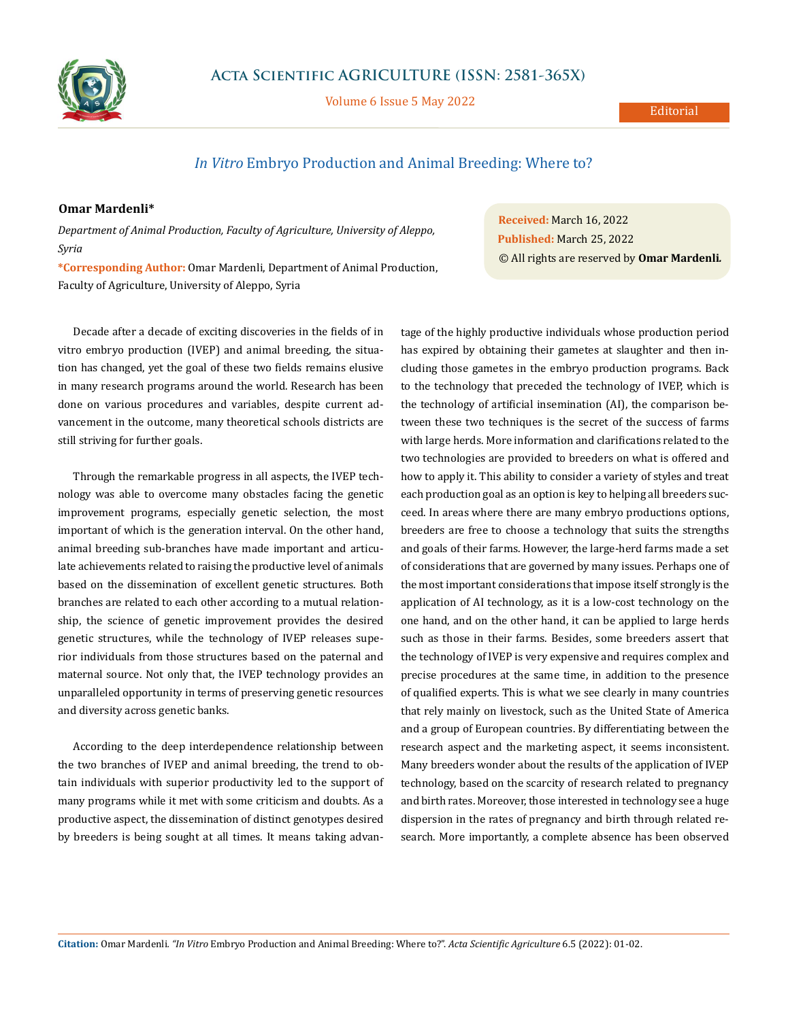

Volume 6 Issue 5 May 2022

## Editorial

## *In Vitro* Embryo Production and Animal Breeding: Where to?

## **Omar Mardenli\***

*Department of Animal Production, Faculty of Agriculture, University of Aleppo, Syria*

**\*Corresponding Author:** Omar Mardenli, Department of Animal Production, Faculty of Agriculture, University of Aleppo, Syria

Decade after a decade of exciting discoveries in the fields of in vitro embryo production (IVEP) and animal breeding, the situation has changed, yet the goal of these two fields remains elusive in many research programs around the world. Research has been done on various procedures and variables, despite current advancement in the outcome, many theoretical schools districts are still striving for further goals.

Through the remarkable progress in all aspects, the IVEP technology was able to overcome many obstacles facing the genetic improvement programs, especially genetic selection, the most important of which is the generation interval. On the other hand, animal breeding sub-branches have made important and articulate achievements related to raising the productive level of animals based on the dissemination of excellent genetic structures. Both branches are related to each other according to a mutual relationship, the science of genetic improvement provides the desired genetic structures, while the technology of IVEP releases superior individuals from those structures based on the paternal and maternal source. Not only that, the IVEP technology provides an unparalleled opportunity in terms of preserving genetic resources and diversity across genetic banks.

According to the deep interdependence relationship between the two branches of IVEP and animal breeding, the trend to obtain individuals with superior productivity led to the support of many programs while it met with some criticism and doubts. As a productive aspect, the dissemination of distinct genotypes desired by breeders is being sought at all times. It means taking advan-

**Received:** March 16, 2022 **Published:** March 25, 2022 © All rights are reserved by **Omar Mardenli***.* 

tage of the highly productive individuals whose production period has expired by obtaining their gametes at slaughter and then including those gametes in the embryo production programs. Back to the technology that preceded the technology of IVEP, which is the technology of artificial insemination (AI), the comparison between these two techniques is the secret of the success of farms with large herds. More information and clarifications related to the two technologies are provided to breeders on what is offered and how to apply it. This ability to consider a variety of styles and treat each production goal as an option is key to helping all breeders succeed. In areas where there are many embryo productions options, breeders are free to choose a technology that suits the strengths and goals of their farms. However, the large-herd farms made a set of considerations that are governed by many issues. Perhaps one of the most important considerations that impose itself strongly is the application of AI technology, as it is a low-cost technology on the one hand, and on the other hand, it can be applied to large herds such as those in their farms. Besides, some breeders assert that the technology of IVEP is very expensive and requires complex and precise procedures at the same time, in addition to the presence of qualified experts. This is what we see clearly in many countries that rely mainly on livestock, such as the United State of America and a group of European countries. By differentiating between the research aspect and the marketing aspect, it seems inconsistent. Many breeders wonder about the results of the application of IVEP technology, based on the scarcity of research related to pregnancy and birth rates. Moreover, those interested in technology see a huge dispersion in the rates of pregnancy and birth through related research. More importantly, a complete absence has been observed